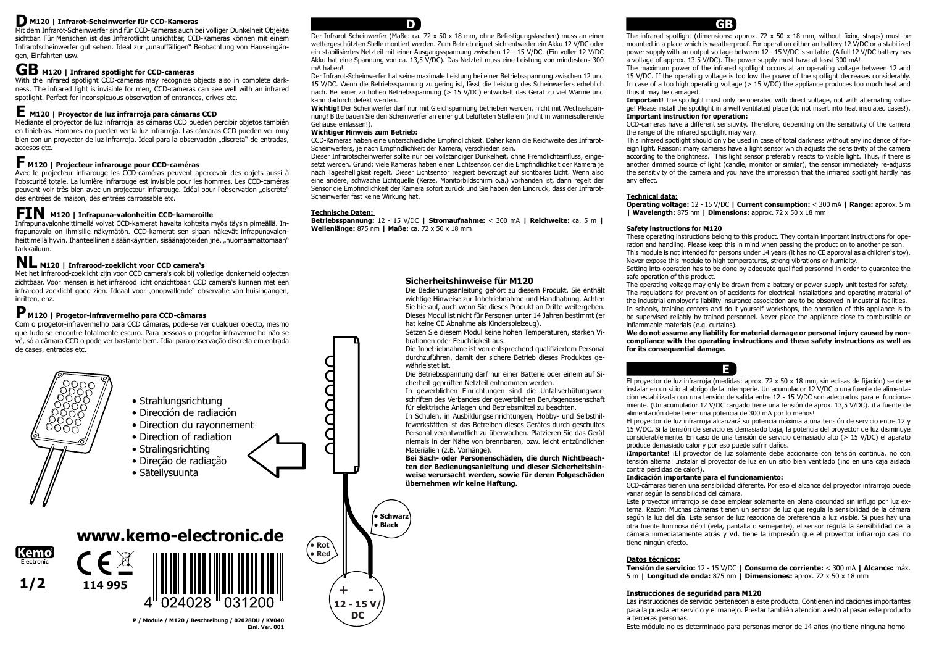## **Sicherheitshinweise für M120**

Die Bedienungsanleitung gehört zu diesem Produkt. Sie enthält wichtige Hinweise zur Inbetriebnahme und Handhabung. Achten Sie hierauf, auch wenn Sie dieses Produkt an Dritte weitergeben. Dieses Modul ist nicht für Personen unter 14 Jahren bestimmt (er hat keine CE Abnahme als Kinderspielzeug).

Setzen Sie diesem Modul keine hohen Temperaturen, starken Vibrationen oder Feuchtigkeit aus.

Die Inbetriebnahme ist von entsprechend qualifiziertem Personal durchzuführen, damit der sichere Betrieb dieses Produktes gewährleistet ist.

Die Betriebsspannung darf nur einer Batterie oder einem auf Sicherheit geprüften Netzteil entnommen werden.

In gewerblichen Einrichtungen sind die Unfallverhütungsvorschriften des Verbandes der gewerblichen Berufsgenossenschaft für elektrische Anlagen und Betriebsmittel zu beachten.

The infrared spotlight (dimensions: approx. 72  $\times$  50  $\times$  18 mm, without fixing straps) must be mounted in a place which is weatherproof. For operation either an battery 12 V/DC or a stabilized power supply with an output voltage between 12 - 15 V/DC is suitable. (A full 12 V/DC battery has a voltage of approx. 13.5 V/DC). The power supply must have at least 300 mA!

The maximum power of the infrared spotlight occurs at an operating voltage between 12 and 15 V/DC. If the operating voltage is too low the power of the spotlight decreases considerably. In case of a too high operating voltage ( $> 15$  V/DC) the appliance produces too much heat and

In Schulen, in Ausbildungseinrichtungen, Hobby- und Selbsthilfewerkstätten ist das Betreiben dieses Gerätes durch geschultes Personal verantwortlich zu überwachen. Platzieren Sie das Gerät niemals in der Nähe von brennbaren, bzw. leicht entzündlichen Materialien (z.B. Vorhänge).

**Bei Sach- oder Personenschäden, die durch Nichtbeachten der Bedienungsanleitung und dieser Sicherheitshinweise verursacht werden, sowie für deren Folgeschäden übernehmen wir keine Haftung.** 

**Important!** The spotlight must only be operated with direct voltage, not with alternating voltage! Please install the spotlight in a well ventilated place (do not insert into heat insulated cases!).

CCD-cameras have a different sensitivity. Therefore, depending on the sensitivity of the camera

thus it may be damaged. **Important instruction for operation:**  the range of the infrared spotlight may vary. any effect.

**¡Importante!** ¡El proyector de luz solamente debe accionarse con tensión continua, no con tensión alterna! Instalar el proyector de luz en un sitio bien ventilado (ino en una caja aislada

This infrared spotlight should only be used in case of total darkness without any incidence of foreign light. Reason: many cameras have a light sensor which adjusts the sensitivity of the camera according to the brightness. This light sensor preferably reacts to visible light. Thus, if there is another dimmed source of light (candle, monitor or similar), the sensor immediately re-adjusts the sensitivity of the camera and you have the impression that the infrared spotlight hardly has

## **Technical data:**

#### **Operating voltage:** 12 - 15 V/DC **| Current consumption:** < 300 mA **| Range:** approx. 5 m **| Wavelength:** 875 nm **| Dimensions:** approx. 72 x 50 x 18 mm

These operating instructions belong to this product. They contain important instructions for operation and handling. Please keep this in mind when passing the product on to another person.

This module is not intended for persons under 14 years (it has no CE approval as a children's toy). Never expose this module to high temperatures, strong vibrations or humidity.

Setting into operation has to be done by adequate qualified personnel in order to guarantee the

# **Safety instructions for M120** safe operation of this product. inflammable materials (e.g. curtains).

The operating voltage may only be drawn from a battery or power supply unit tested for safety. The regulations for prevention of accidents for electrical installations and operating material of the industrial employer's liability insurance association are to be observed in industrial facilities. In schools, training centers and do-it-yourself workshops, the operation of this appliance is to be supervised reliably by trained personnel. Never place the appliance close to combustible or

#### **We do not assume any liability for material damage or personal injury caused by noncompliance with the operating instructions and these safety instructions as well as for its consequential damage.**

El proyector de luz infrarroja (medidas: aprox. 72 x 50 x 18 mm, sin eclisas de fijación) se debe instalar en un sitio al abrigo de la intemperie. Un acumulador 12 V/DC o una fuente de alimentación estabilizada con una tensión de salida entre 12 - 15 V/DC son adecuados para el funcionamiente. (Un acumulador 12 V/DC cargado tiene una tensión de aprox. 13,5 V/DC). ¡La fuente de alimentación debe tener una potencia de 300 mA por lo menos!

El proyector de luz infrarroja alcanzará su potencia máxima a una tensión de servicio entre 12 y 15 V/DC. Si la tensión de servicio es demasiado baja, la potencia del proyector de luz disminuye considerablemente. En caso de una tensión de servicio demasiado alto (> 15 V/DC) el aparato produce demasiado calor y por eso puede sufrir daños.

#### **Indicación importante para el funcionamiento:**

CCD-cámaras tienen una sensibilidad diferente. Por eso el alcance del proyector infrarrojo puede

contra pérdidas de calor!). variar según la sensibilidad del cámara. tiene ningún efecto.

Este proyector infrarrojo se debe emplear solamente en plena oscuridad sin influjo por luz externa. Razón: Muchas cámaras tienen un sensor de luz que regula la sensibilidad de la cámara según la luz del día. Este sensor de luz reacciona de preferencia a luz visible. Si pues hay una otra fuente luminosa débil (vela, pantalla o semejante), el sensor regula la sensibilidad de la cámara inmediatamente atrás y Vd. tiene la impresión que el proyector infrarrojo casi no

**Datos técnicos:**

#### **Tensión de servicio:** 12 - 15 V/DC **| Consumo de corriente:** < 300 mA **| Alcance:** máx. 5 m **| Longitud de onda:** 875 nm **| Dimensiones:** aprox. 72 x 50 x 18 mm

**Instrucciones de seguridad para M120** a terceras personas.

Las instrucciones de servicio pertenecen a este producto. Contienen indicaciones importantes para la puesta en servicio y el manejo. Prestar también atención a esto al pasar este producto

Este módulo no es determinado para personas menor de 14 años (no tiene ninguna homo

Mit dem Infrarot-Scheinwerfer sind für CCD-Kameras auch bei völliger Dunkelheit Objekte sichtbar. Für Menschen ist das Infrarotlicht unsichtbar, CCD-Kameras können mit einem Infrarotscheinwerfer gut sehen. Ideal zur "unauffälligen" Beobachtung von Hauseingängen, Einfahrten usw.

With the infrared spotlight CCD-cameras may recognize objects also in complete darkness. The infrared light is invisible for men, CCD-cameras can see well with an infrared spotlight. Perfect for inconspicuous observation of entrances, drives etc.

Mediante el proyector de luz infrarroja las cámaras CCD pueden percibir objetos también en tinieblas. Hombres no pueden ver la luz infrarroja. Las cámaras CCD pueden ver muy bien con un proyector de luz infrarroja. Ideal para la observación "discreta" de entradas, accesos etc.

## **M120 | Infrarot-Scheinwerfer für CCD-Kameras D**



Avec le projecteur infrarouge les CCD-caméras peuvent apercevoir des objets aussi à l'obscurité totale. La lumière infrarouge est invisible pour les hommes. Les CCD-caméras peuvent voir très bien avec un projecteur infrarouge. Idéal pour l'observation "discrète" des entrées de maison, des entrées carrossable etc.

## **M120 | Infrared spotlight for CCD-cameras GB**

## **M120 | Proyector de luz infrarroja para cámaras CCD E**

Infrapunavalonheittimellä voivat CCD-kamerat havaita kohteita myös täysin pimeällä. Infrapunavalo on ihmisille näkymätön. CCD-kamerat sen sijaan näkevät infrapunavalonheittimellä hyvin. Ihanteellinen sisäänkäyntien, sisäänajoteiden jne. "huomaamattomaan" tarkkailuun.

## **M120 | Projecteur infrarouge pour CCD-caméras F**

## **M120 | Infrapuna-valonheitin CCD-kameroille FIN**

Met het infrarood-zoeklicht zijn voor CCD camera's ook bij volledige donkerheid objecten zichtbaar. Voor mensen is het infrarood licht onzichtbaar. CCD camera's kunnen met een infrarood zoeklicht goed zien. Ideaal voor "onopvallende" observatie van huisingangen, inritten, enz.

## **M120 | Infrarood-zoeklicht voor CCD camera's NL**

## **M120 | Progetor-infravermelho para CCD-câmaras P**

Com o progetor-infravermelho para CCD câmaras, pode-se ver qualquer obecto, mesmo que tudo se encontre totalmente escuro. Para pessoas o progetor-infravermelho não se vê, só a câmara CCD o pode ver bastante bem. Idial para observação discreta em entrada de cases, entradas etc.

Der Infrarot-Scheinwerfer (Maße: ca. 72 x 50 x 18 mm, ohne Befestigungslaschen) muss an einer wettergeschützten Stelle montiert werden. Zum Betrieb eignet sich entweder ein Akku 12 V/DC oder ein stabilisiertes Netzteil mit einer Ausgangsspannung zwischen 12 - 15 V/DC. (Ein voller 12 V/DC Akku hat eine Spannung von ca. 13,5 V/DC). Das Netzteil muss eine Leistung von mindestens 300 mA haben!

Der Infrarot-Scheinwerfer hat seine maximale Leistung bei einer Betriebsspannung zwischen 12 und 15 V/DC. Wenn die Betriebsspannung zu gering ist, lässt die Leistung des Scheinwerfers erheblich nach. Bei einer zu hohen Betriebsspannung (> 15 V/DC) entwickelt das Gerät zu viel Wärme und kann dadurch defekt werden.

**Wichtig!** Der Scheinwerfer darf nur mit Gleichspannung betrieben werden, nicht mit Wechselspannung! Bitte bauen Sie den Scheinwerfer an einer gut belüfteten Stelle ein (nicht in wärmeisolierende Gehäuse einlassen!).

#### **Wichtiger Hinweis zum Betrieb:**

CCD-Kameras haben eine unterschiedliche Empfindlichkeit. Daher kann die Reichweite des Infrarot-Scheinwerfers, je nach Empfindlichkeit der Kamera, verschieden sein.

Dieser Infrarotscheinwerfer sollte nur bei vollständiger Dunkelheit, ohne Fremdlichteinfluss, eingesetzt werden. Grund: viele Kameras haben einen Lichtsensor, der die Empfindlichkeit der Kamera je nach Tageshelligkeit regelt. Dieser Lichtsensor reagiert bevorzugt auf sichtbares Licht. Wenn also eine andere, schwache Lichtquelle (Kerze, Monitorbildschirm o.ä.) vorhanden ist, dann regelt der Sensor die Empfindlichkeit der Kamera sofort zurück und Sie haben den Eindruck, dass der Infrarot-Scheinwerfer fast keine Wirkung hat.

### **Technische Daten:**

**Betriebsspannung:** 12 - 15 V/DC **| Stromaufnahme:** < 300 mA **| Reichweite:** ca. 5 m **| Wellenlänge:** 875 nm **| Maße:** ca. 72 x 50 x 18 mm



## **E**

## **GB**

**P / Module / M120 / Beschreibung / 02028DU / KV040 Einl. Ver. 001**